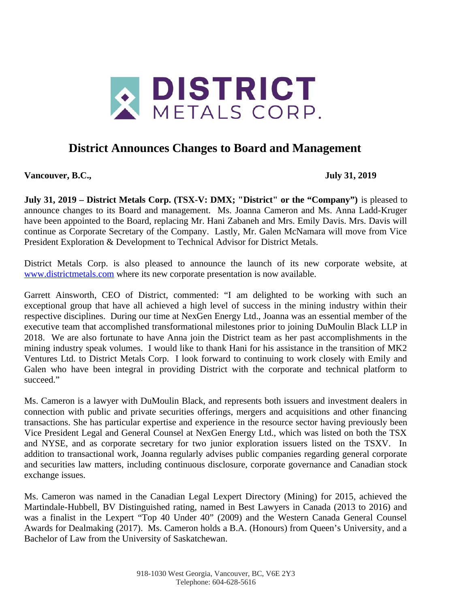

## **District Announces Changes to Board and Management**

**Vancouver, B.C., July 31, 2019**

**July 31, 2019 – District Metals Corp. (TSX-V: DMX; "District" or the "Company")** is pleased to announce changes to its Board and management. Ms. Joanna Cameron and Ms. Anna Ladd-Kruger have been appointed to the Board, replacing Mr. Hani Zabaneh and Mrs. Emily Davis. Mrs. Davis will continue as Corporate Secretary of the Company. Lastly, Mr. Galen McNamara will move from Vice President Exploration & Development to Technical Advisor for District Metals.

District Metals Corp. is also pleased to announce the launch of its new corporate website, at [www.districtmetals.com](http://www.districtmetals.com/) where its new corporate presentation is now available.

Garrett Ainsworth, CEO of District, commented: "I am delighted to be working with such an exceptional group that have all achieved a high level of success in the mining industry within their respective disciplines. During our time at NexGen Energy Ltd., Joanna was an essential member of the executive team that accomplished transformational milestones prior to joining DuMoulin Black LLP in 2018. We are also fortunate to have Anna join the District team as her past accomplishments in the mining industry speak volumes. I would like to thank Hani for his assistance in the transition of MK2 Ventures Ltd. to District Metals Corp. I look forward to continuing to work closely with Emily and Galen who have been integral in providing District with the corporate and technical platform to succeed."

Ms. Cameron is a lawyer with DuMoulin Black, and represents both issuers and investment dealers in connection with public and private securities offerings, mergers and acquisitions and other financing transactions. She has particular expertise and experience in the resource sector having previously been Vice President Legal and General Counsel at NexGen Energy Ltd., which was listed on both the TSX and NYSE, and as corporate secretary for two junior exploration issuers listed on the TSXV. In addition to transactional work, Joanna regularly advises public companies regarding general corporate and securities law matters, including continuous disclosure, corporate governance and Canadian stock exchange issues.

Ms. Cameron was named in the Canadian Legal Lexpert Directory (Mining) for 2015, achieved the Martindale-Hubbell, BV Distinguished rating, named in Best Lawyers in Canada (2013 to 2016) and was a finalist in the Lexpert "Top 40 Under 40" (2009) and the Western Canada General Counsel Awards for Dealmaking (2017). Ms. Cameron holds a B.A. (Honours) from Queen's University, and a Bachelor of Law from the University of Saskatchewan.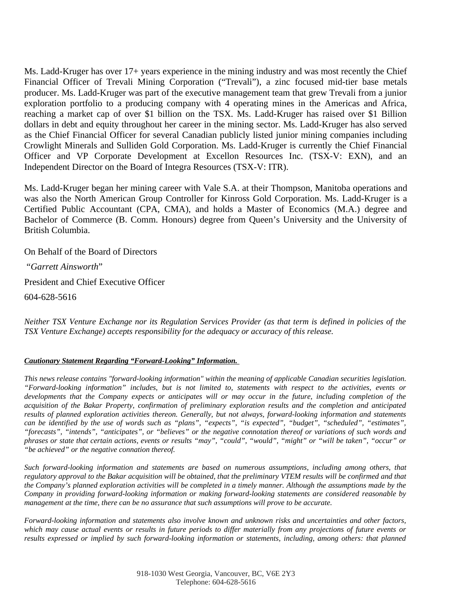Ms. Ladd-Kruger has over 17+ years experience in the mining industry and was most recently the Chief Financial Officer of Trevali Mining Corporation ("Trevali"), a zinc focused mid-tier base metals producer. Ms. Ladd-Kruger was part of the executive management team that grew Trevali from a junior exploration portfolio to a producing company with 4 operating mines in the Americas and Africa, reaching a market cap of over \$1 billion on the TSX. Ms. Ladd-Kruger has raised over \$1 Billion dollars in debt and equity throughout her career in the mining sector. Ms. Ladd-Kruger has also served as the Chief Financial Officer for several Canadian publicly listed junior mining companies including Crowlight Minerals and Sulliden Gold Corporation. Ms. Ladd-Kruger is currently the Chief Financial Officer and VP Corporate Development at Excellon Resources Inc. (TSX-V: EXN), and an Independent Director on the Board of Integra Resources (TSX-V: ITR).

Ms. Ladd-Kruger began her mining career with Vale S.A. at their Thompson, Manitoba operations and was also the North American Group Controller for Kinross Gold Corporation. Ms. Ladd-Kruger is a Certified Public Accountant (CPA, CMA), and holds a Master of Economics (M.A.) degree and Bachelor of Commerce (B. Comm. Honours) degree from Queen's University and the University of British Columbia.

On Behalf of the Board of Directors

"*Garrett Ainsworth*"

President and Chief Executive Officer

604-628-5616

*Neither TSX Venture Exchange nor its Regulation Services Provider (as that term is defined in policies of the TSX Venture Exchange) accepts responsibility for the adequacy or accuracy of this release.*

## *Cautionary Statement Regarding "Forward-Looking" Information.*

*This news release contains "forward-looking information" within the meaning of applicable Canadian securities legislation. "Forward-looking information" includes, but is not limited to, statements with respect to the activities, events or developments that the Company expects or anticipates will or may occur in the future, including completion of the acquisition of the Bakar Property, confirmation of preliminary exploration results and the completion and anticipated results of planned exploration activities thereon. Generally, but not always, forward-looking information and statements can be identified by the use of words such as "plans", "expects", "is expected", "budget", "scheduled", "estimates", "forecasts", "intends", "anticipates", or "believes" or the negative connotation thereof or variations of such words and phrases or state that certain actions, events or results "may", "could", "would", "might" or "will be taken", "occur" or "be achieved" or the negative connation thereof.* 

*Such forward-looking information and statements are based on numerous assumptions, including among others, that regulatory approval to the Bakar acquisition will be obtained, that the preliminary VTEM results will be confirmed and that the Company's planned exploration activities will be completed in a timely manner. Although the assumptions made by the Company in providing forward-looking information or making forward-looking statements are considered reasonable by management at the time, there can be no assurance that such assumptions will prove to be accurate.* 

*Forward-looking information and statements also involve known and unknown risks and uncertainties and other factors, which may cause actual events or results in future periods to differ materially from any projections of future events or results expressed or implied by such forward-looking information or statements, including, among others: that planned*